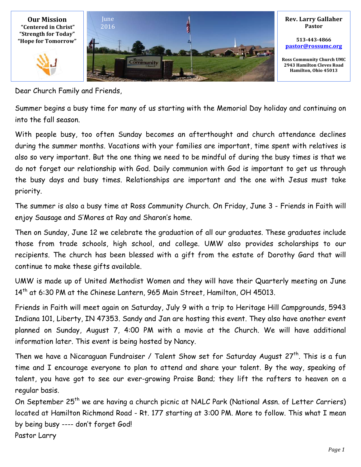

Dear Church Family and Friends,

Summer begins a busy time for many of us starting with the Memorial Day holiday and continuing on into the fall season.

With people busy, too often Sunday becomes an afterthought and church attendance declines during the summer months. Vacations with your families are important, time spent with relatives is also so very important. But the one thing we need to be mindful of during the busy times is that we do not forget our relationship with God. Daily communion with God is important to get us through the busy days and busy times. Relationships are important and the one with Jesus must take priority.

The summer is also a busy time at Ross Community Church. On Friday, June 3 - Friends in Faith will enjoy Sausage and S'Mores at Ray and Sharon's home.

Then on Sunday, June 12 we celebrate the graduation of all our graduates. These graduates include those from trade schools, high school, and college. UMW also provides scholarships to our recipients. The church has been blessed with a gift from the estate of Dorothy Gard that will continue to make these gifts available.

UMW is made up of United Methodist Women and they will have their Quarterly meeting on June 14<sup>th</sup> at 6:30 PM at the Chinese Lantern, 965 Main Street, Hamilton, OH 45013.

Friends in Faith will meet again on Saturday, July 9 with a trip to Heritage Hill Campgrounds, 5943 Indiana 101, Liberty, IN 47353. Sandy and Jan are hosting this event. They also have another event planned on Sunday, August 7, 4:00 PM with a movie at the Church. We will have additional information later. This event is being hosted by Nancy.

Then we have a Nicaraguan Fundraiser / Talent Show set for Saturday August 27<sup>th</sup>. This is a fun time and I encourage everyone to plan to attend and share your talent. By the way, speaking of talent, you have got to see our ever-growing Praise Band; they lift the rafters to heaven on a regular basis.

On September 25<sup>th</sup> we are having a church picnic at NALC Park (National Assn. of Letter Carriers) located at Hamilton Richmond Road - Rt. 177 starting at 3:00 PM. More to follow. This what I mean by being busy ---- don't forget God! Pastor Larry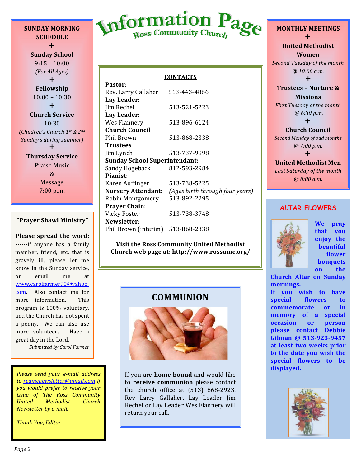**SUNDAY MORNING SCHEDULE**  $+$ 

**Sunday School**  $9:15 - 10:00$ *(For All Ages)*  $+$ **Fellowship**  $10:00 - 10:30$  $+$ **Church Service** 10:30 *(Children's Church 1st & 2nd Sunday's during summer*  $\div$ 

> **Thursday Service** Praise Music & Message 7:00 p.m.

#### **"Prayer Shawl Ministry"**

#### **Please spread the word:**

**------**If anyone has a family member, friend, etc. that is gravely ill, please let me know in the Sunday service, or email me at www.carolfarmer90@yahoo. com. Also contact me for more information. This program is 100% voluntary, and the Church has not spent a penny. We can also use more volunteers. Have a great day in the Lord.

*Submitted by Carol Farmer*

*Please send your e-mail address*  to rcumcnewsletter@gmail.com if *you would prefer to receive your issue of The Ross Community United Methodist Church Newsletter by e-mail.* 

*Thank You, Editor*



#### **CONTACTS**

| Pastor:                              |                                 |  |  |  |
|--------------------------------------|---------------------------------|--|--|--|
| Rev. Larry Gallaher                  | 513-443-4866                    |  |  |  |
| Lay Leader:                          |                                 |  |  |  |
| Jim Rechel                           | 513-521-5223                    |  |  |  |
| Lay Leader:                          |                                 |  |  |  |
| Wes Flannery                         | 513-896-6124                    |  |  |  |
| <b>Church Council</b>                |                                 |  |  |  |
| Phil Brown                           | 513-868-2338                    |  |  |  |
| <b>Trustees</b>                      |                                 |  |  |  |
| Jim Lynch                            | 513-737-9998                    |  |  |  |
| <b>Sunday School Superintendant:</b> |                                 |  |  |  |
| Sandy Hogeback                       | 812-593-2984                    |  |  |  |
| Pianist:                             |                                 |  |  |  |
| Karen Auffinger                      | 513-738-5225                    |  |  |  |
| <b>Nursery Attendant:</b>            | (Ages birth through four years) |  |  |  |
| Robin Montgomery                     | 513-892-2295                    |  |  |  |
| <b>Prayer Chain:</b>                 |                                 |  |  |  |
| Vicky Foster                         | 513-738-3748                    |  |  |  |
| Newsletter:                          |                                 |  |  |  |
| Phil Brown (interim)                 | 513-868-2338                    |  |  |  |

**Visit the Ross Community United Methodist Church web page at: http://www.rossumc.org/**

# **COMMUNION**



If you are **home bound** and would like to **receive communion** please contact the church office at  $(513)$  868-2923. Rev Larry Gallaher, Lay Leader Jim Rechel or Lay Leader Wes Flannery will return your call.

#### **MONTHLY MEETINGS**  $\ddagger$ **United Methodist Women**

**Second Tuesday of the month** *@ 10:00 a.m.*

 $\ddagger$ 

**Trustees - Nurture & Missions**

*First Tuesday of the month @ 6:30 p.m.*  $\ddagger$ 

**Church Council Second Monday of odd months** *@ 7:00 p.m.*  $\ddot{}$ 

**United Methodist Men** Last Saturday of the month *@ 8:00 a.m.*

#### **ALTAR FLOWERS**



**We pray that you enjoy** the **beautiful flower bouquets on** the

**Church Altar on Sunday mornings.**

If you wish to have special flowers to **commemorate** or in **memory** of a special **occasion** or **person please contact Debbie**  Gilman @ 513-923-9457 at least two weeks prior **to the date you wish the special flowers to be displayed.**

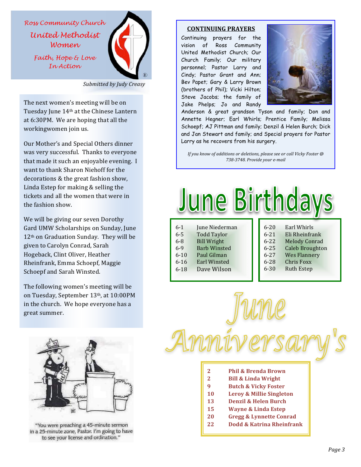



*Submitted by Judy Creasy*

The next women's meeting will be on Tuesday June 14<sup>th</sup> at the Chinese Lantern at 6:30PM. We are hoping that all the workingwomen join us.

Our Mother's and Special Others dinner was very successful. Thanks to everyone that made it such an enjoyable evening. I want to thank Sharon Niehoff for the decorations & the great fashion show, Linda Estep for making  $&$  selling the tickets and all the women that were in the fashion show.

We will be giving our seven Dorothy Gard UMW Scholarships on Sunday, June 12<sup>th</sup> on Graduation Sunday. They will be given to Carolyn Conrad, Sarah Hogeback, Clint Oliver, Heather Rheinfrank, Emma Schoepf, Maggie Schoepf and Sarah Winsted.

The following women's meeting will be on Tuesday, September 13th, at 10:00PM in the church. We hope everyone has a great summer.



"You were preaching a 45-minute sermon in a 25-minute zone, Pastor. I'm going to have to see your license and ordination."

#### **CONTINUING PRAYERS**

Continuing prayers for the vision of Ross Community United Methodist Church; Our Church Family; Our military personnel; Pastor Larry and Cindy; Pastor Grant and Ann; Bev Papet; Gary & Larry Brown (brothers of Phil); Vicki Hilton; Steve Jacobs; the family of Jake Phelps; Jo and Randy



Anderson & great grandson Tyson and family; Don and Annette Hegner; Earl Whirls; Prentice Family; Melissa Schoepf; AJ Pittman and family; Denzil & Helen Burch; Dick and Jan Stewart and family; and Special prayers for Pastor Larry as he recovers from his surgery.

*If* you know of additions or deletions, please see or call Vicky Foster @ *738-3748. Provide your e-mail* 

|          |                     |          | cnoa                   |
|----------|---------------------|----------|------------------------|
| $6 - 1$  | June Niederman      | $6 - 20$ | Earl Whirls            |
| $6 - 5$  | <b>Todd Taylor</b>  | $6 - 21$ | Eli Rheinfrank         |
| $6 - 8$  | <b>Bill Wright</b>  | $6 - 22$ | <b>Melody Conrad</b>   |
| $6 - 9$  | <b>Barb Winsted</b> | $6 - 25$ | <b>Caleb Broughton</b> |
| $6 - 10$ | Paul Gilman         | $6 - 27$ | <b>Wes Flannery</b>    |
| $6 - 16$ | <b>Earl Winsted</b> | $6 - 28$ | <b>Chris Foxx</b>      |
| $6 - 18$ | Dave Wilson         | $6 - 30$ | <b>Ruth Estep</b>      |

- **2 Phil & Brenda Brown**
- **2 Bill & Linda Wright**
- **9 Butch & Vicky Foster**
- **10 Leroy & Millie Singleton**
- 13 **Denzil & Helen Burch**
- **15 Wayne & Linda Estep**
- **20 Gregg & Lynnette Conrad**
- **22 Dodd & Katrina Rheinfrank**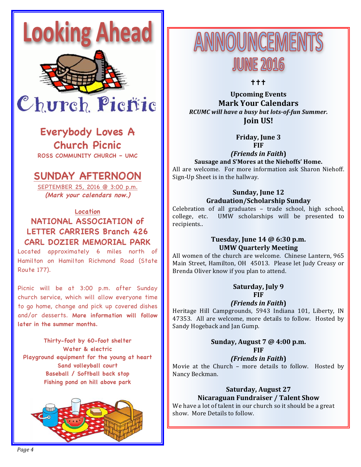

### **Everybody Loves A Church Picnic**

**ROSS COMMUNITY CHURCH – UMC**

## **SUNDAY AFTERNOON**

SEPTEMBER 25, 2016 @ 3:00 p.m. **(Mark your calendars now.)**

**Location NATIONAL ASSOCIATION of LETTER CARRIERS Branch 426 CARL DOZIER MEMORIAL PARK**

Located approximately 6 miles north of Hamilton on Hamilton Richmond Road (State Route 177).

Picnic will be at 3:00 p.m. after Sunday church service, which will allow everyone time to go home, change and pick up covered dishes and/or desserts. **More information will follow later in the summer months.**

**Thirty-foot by 60-foot shelter Water & electric Playground equipment for the young at heart Sand volleyball court Baseball / Softball back stop Fishing pond on hill above park**



ANNOUNCEMEN **JUNE 2016** 

"""

**Upcoming Events Mark Your Calendars** *RCUMC will have a busy but lots-of-fun Summer.* **Join US!**

**Friday, June 3** 

**FIF**

*(Friends in Faith***)**

Sausage and S'Mores at the Niehoffs' Home. All are welcome. For more information ask Sharon Niehoff. Sign-Up Sheet is in the hallway.

#### **Sunday, June 12 Graduation/Scholarship Sunday**

Celebration of all graduates - trade school, high school, college, etc. UMW scholarships will be presented to recipients..

#### **Tuesday, June 14 @ 6:30 p.m. UMW Quarterly Meeting**

All women of the church are welcome. Chinese Lantern, 965 Main Street, Hamilton, OH 45013. Please let Judy Creasy or Brenda Oliver know if you plan to attend.

#### **Saturday, July 9 FIF**

*(Friends in Faith***)**

Heritage Hill Campgrounds, 5943 Indiana 101, Liberty, IN 47353. All are welcome, more details to follow. Hosted by Sandy Hogeback and Jan Gump.

#### Sunday, August 7 @ 4:00 p.m. **FIF**

#### *(Friends in Faith***)**

Movie at the Church - more details to follow. Hosted by Nancy Beckman.

#### **Saturday, August 27 Nicaraguan Fundraiser / Talent Show**

We have a lot of talent in our church so it should be a great show. More Details to follow.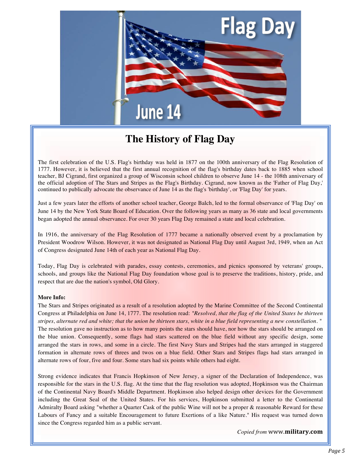

## **The History of Flag Day**

The first celebration of the U.S. Flag's birthday was held in 1877 on the 100th anniversary of the Flag Resolution of 1777. However, it is believed that the first annual recognition of the flag's birthday dates back to 1885 when school teacher, BJ Cigrand, first organized a group of Wisconsin school children to observe June 14 - the 108th anniversary of the official adoption of The Stars and Stripes as the Flag's Birthday. Cigrand, now known as the 'Father of Flag Day,' continued to publically advocate the observance of June 14 as the flag's 'birthday', or 'Flag Day' for years.

Just a few years later the efforts of another school teacher, George Balch, led to the formal observance of 'Flag Day' on June 14 by the New York State Board of Education. Over the following years as many as 36 state and local governments began adopted the annual observance. For over 30 years Flag Day remained a state and local celebration.

In 1916, the anniversary of the Flag Resolution of 1777 became a nationally observed event by a proclamation by President Woodrow Wilson. However, it was not designated as National Flag Day until August 3rd, 1949, when an Act of Congress designated June 14th of each year as National Flag Day.

Today, Flag Day is celebrated with parades, essay contests, ceremonies, and picnics sponsored by veterans' groups, schools, and groups like the National Flag Day foundation whose goal is to preserve the traditions, history, pride, and respect that are due the nation's symbol, Old Glory.

#### **More Info:**

The Stars and Stripes originated as a result of a resolution adopted by the Marine Committee of the Second Continental Congress at Philadelphia on June 14, 1777. The resolution read: *"Resolved, that the flag of the United States be thirteen stripes, alternate red and white; that the union be thirteen stars, white in a blue field representing a new constellation. "* The resolution gave no instruction as to how many points the stars should have, nor how the stars should be arranged on the blue union. Consequently, some flags had stars scattered on the blue field without any specific design, some arranged the stars in rows, and some in a circle. The first Navy Stars and Stripes had the stars arranged in staggered formation in alternate rows of threes and twos on a blue field. Other Stars and Stripes flags had stars arranged in alternate rows of four, five and four. Some stars had six points while others had eight.

Strong evidence indicates that Francis Hopkinson of New Jersey, a signer of the Declaration of Independence, was responsible for the stars in the U.S. flag. At the time that the flag resolution was adopted, Hopkinson was the Chairman of the Continental Navy Board's Middle Department. Hopkinson also helped design other devices for the Government including the Great Seal of the United States. For his services, Hopkinson submitted a letter to the Continental Admiralty Board asking "whether a Quarter Cask of the public Wine will not be a proper & reasonable Reward for these Labours of Fancy and a suitable Encouragement to future Exertions of a like Nature." His request was turned down since the Congress regarded him as a public servant.

*Copied from* www.**military.com**